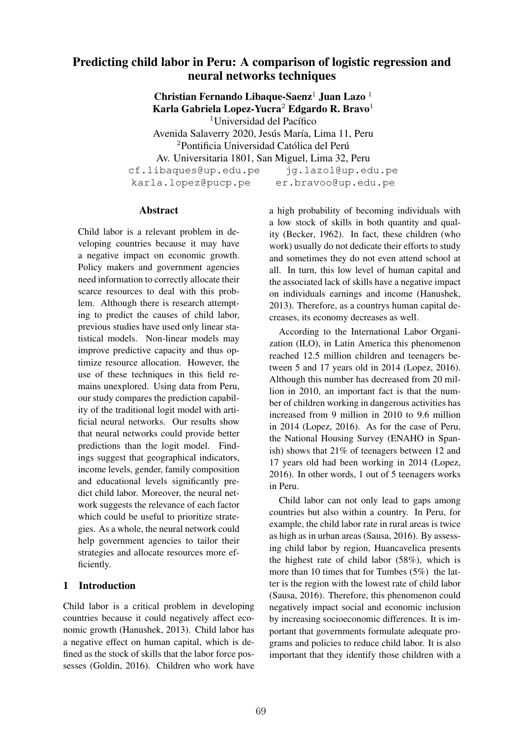# Predicting child labor in Peru: A comparison of logistic regression and neural networks techniques

Christian Fernando Libaque-Saenz<sup>1</sup> Juan Lazo  $1$ Karla Gabriela Lopez-Yucra<sup>2</sup> Edgardo R. Bravo<sup>1</sup>

 $1$ Universidad del Pacífico

Avenida Salaverry 2020, Jesús María, Lima 11, Peru <sup>2</sup>Pontificia Universidad Católica del Perú

Av. Universitaria 1801, San Miguel, Lima 32, Peru

cf.libaques@up.edu.pe jg.lazol@up.edu.pe karla.lopez@pucp.pe er.bravoo@up.edu.pe

## Abstract

Child labor is a relevant problem in developing countries because it may have a negative impact on economic growth. Policy makers and government agencies need information to correctly allocate their scarce resources to deal with this problem. Although there is research attempting to predict the causes of child labor, previous studies have used only linear statistical models. Non-linear models may improve predictive capacity and thus optimize resource allocation. However, the use of these techniques in this field remains unexplored. Using data from Peru, our study compares the prediction capability of the traditional logit model with artificial neural networks. Our results show that neural networks could provide better predictions than the logit model. Findings suggest that geographical indicators, income levels, gender, family composition and educational levels significantly predict child labor. Moreover, the neural network suggests the relevance of each factor which could be useful to prioritize strategies. As a whole, the neural network could help government agencies to tailor their strategies and allocate resources more efficiently.

## 1 Introduction

Child labor is a critical problem in developing countries because it could negatively affect economic growth (Hanushek, 2013). Child labor has a negative effect on human capital, which is defined as the stock of skills that the labor force possesses (Goldin, 2016). Children who work have a high probability of becoming individuals with a low stock of skills in both quantity and quality (Becker, 1962). In fact, these children (who work) usually do not dedicate their efforts to study and sometimes they do not even attend school at all. In turn, this low level of human capital and the associated lack of skills have a negative impact on individuals earnings and income (Hanushek, 2013). Therefore, as a countrys human capital decreases, its economy decreases as well.

According to the International Labor Organization (ILO), in Latin America this phenomenon reached 12.5 million children and teenagers between 5 and 17 years old in 2014 (Lopez, 2016). Although this number has decreased from 20 million in 2010, an important fact is that the number of children working in dangerous activities has increased from 9 million in 2010 to 9.6 million in 2014 (Lopez, 2016). As for the case of Peru, the National Housing Survey (ENAHO in Spanish) shows that 21% of teenagers between 12 and 17 years old had been working in 2014 (Lopez, 2016). In other words, 1 out of 5 teenagers works in Peru.

Child labor can not only lead to gaps among countries but also within a country. In Peru, for example, the child labor rate in rural areas is twice as high as in urban areas (Sausa, 2016). By assessing child labor by region, Huancavelica presents the highest rate of child labor (58%), which is more than 10 times that for Tumbes (5%) the latter is the region with the lowest rate of child labor (Sausa, 2016). Therefore, this phenomenon could negatively impact social and economic inclusion by increasing socioeconomic differences. It is important that governments formulate adequate programs and policies to reduce child labor. It is also important that they identify those children with a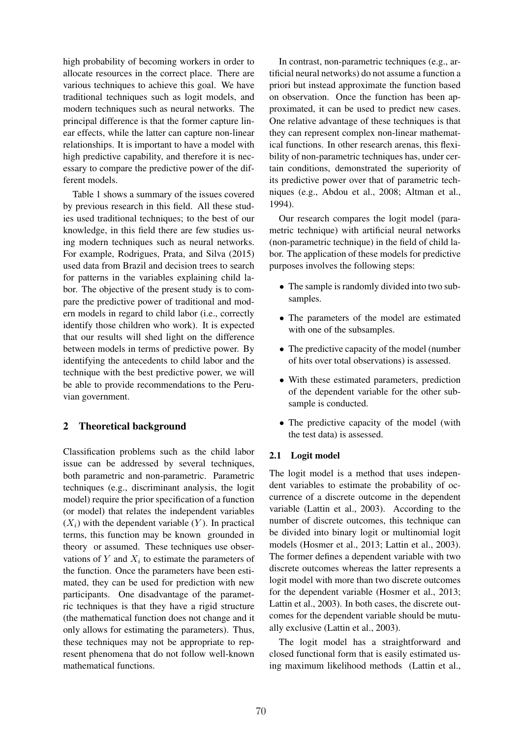high probability of becoming workers in order to allocate resources in the correct place. There are various techniques to achieve this goal. We have traditional techniques such as logit models, and modern techniques such as neural networks. The principal difference is that the former capture linear effects, while the latter can capture non-linear relationships. It is important to have a model with high predictive capability, and therefore it is necessary to compare the predictive power of the different models.

Table 1 shows a summary of the issues covered by previous research in this field. All these studies used traditional techniques; to the best of our knowledge, in this field there are few studies using modern techniques such as neural networks. For example, Rodrigues, Prata, and Silva (2015) used data from Brazil and decision trees to search for patterns in the variables explaining child labor. The objective of the present study is to compare the predictive power of traditional and modern models in regard to child labor (i.e., correctly identify those children who work). It is expected that our results will shed light on the difference between models in terms of predictive power. By identifying the antecedents to child labor and the technique with the best predictive power, we will be able to provide recommendations to the Peruvian government.

## 2 Theoretical background

Classification problems such as the child labor issue can be addressed by several techniques, both parametric and non-parametric. Parametric techniques (e.g., discriminant analysis, the logit model) require the prior specification of a function (or model) that relates the independent variables  $(X_i)$  with the dependent variable  $(Y)$ . In practical terms, this function may be known grounded in theory or assumed. These techniques use observations of  $Y$  and  $X_i$  to estimate the parameters of the function. Once the parameters have been estimated, they can be used for prediction with new participants. One disadvantage of the parametric techniques is that they have a rigid structure (the mathematical function does not change and it only allows for estimating the parameters). Thus, these techniques may not be appropriate to represent phenomena that do not follow well-known mathematical functions.

In contrast, non-parametric techniques (e.g., artificial neural networks) do not assume a function a priori but instead approximate the function based on observation. Once the function has been approximated, it can be used to predict new cases. One relative advantage of these techniques is that they can represent complex non-linear mathematical functions. In other research arenas, this flexibility of non-parametric techniques has, under certain conditions, demonstrated the superiority of its predictive power over that of parametric techniques (e.g., Abdou et al., 2008; Altman et al., 1994).

Our research compares the logit model (parametric technique) with artificial neural networks (non-parametric technique) in the field of child labor. The application of these models for predictive purposes involves the following steps:

- The sample is randomly divided into two subsamples.
- *•* The parameters of the model are estimated with one of the subsamples.
- The predictive capacity of the model (number of hits over total observations) is assessed.
- With these estimated parameters, prediction of the dependent variable for the other subsample is conducted.
- The predictive capacity of the model (with the test data) is assessed.

## 2.1 Logit model

The logit model is a method that uses independent variables to estimate the probability of occurrence of a discrete outcome in the dependent variable (Lattin et al., 2003). According to the number of discrete outcomes, this technique can be divided into binary logit or multinomial logit models (Hosmer et al., 2013; Lattin et al., 2003). The former defines a dependent variable with two discrete outcomes whereas the latter represents a logit model with more than two discrete outcomes for the dependent variable (Hosmer et al., 2013; Lattin et al., 2003). In both cases, the discrete outcomes for the dependent variable should be mutually exclusive (Lattin et al., 2003).

The logit model has a straightforward and closed functional form that is easily estimated using maximum likelihood methods (Lattin et al.,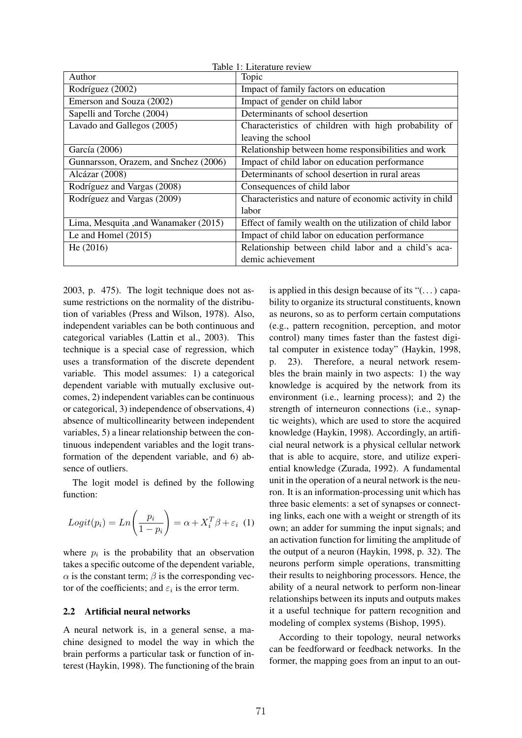| Table 1: Literature review            |                                                           |  |  |  |
|---------------------------------------|-----------------------------------------------------------|--|--|--|
| Author                                | Topic                                                     |  |  |  |
| Rodríguez (2002)                      | Impact of family factors on education                     |  |  |  |
| Emerson and Souza (2002)              | Impact of gender on child labor                           |  |  |  |
| Sapelli and Torche (2004)             | Determinants of school desertion                          |  |  |  |
| Lavado and Gallegos (2005)            | Characteristics of children with high probability of      |  |  |  |
|                                       | leaving the school                                        |  |  |  |
| García (2006)                         | Relationship between home responsibilities and work       |  |  |  |
| Gunnarsson, Orazem, and Snchez (2006) | Impact of child labor on education performance            |  |  |  |
| Alcázar (2008)                        | Determinants of school desertion in rural areas           |  |  |  |
| Rodríguez and Vargas (2008)           | Consequences of child labor                               |  |  |  |
| Rodríguez and Vargas (2009)           | Characteristics and nature of economic activity in child  |  |  |  |
|                                       | labor                                                     |  |  |  |
| Lima, Mesquita , and Wanamaker (2015) | Effect of family wealth on the utilization of child labor |  |  |  |
| Le and Homel $(2015)$                 | Impact of child labor on education performance            |  |  |  |
| He $(2016)$                           | Relationship between child labor and a child's aca-       |  |  |  |
|                                       | demic achievement                                         |  |  |  |

2003, p. 475). The logit technique does not assume restrictions on the normality of the distribution of variables (Press and Wilson, 1978). Also, independent variables can be both continuous and categorical variables (Lattin et al., 2003). This technique is a special case of regression, which uses a transformation of the discrete dependent variable. This model assumes: 1) a categorical dependent variable with mutually exclusive outcomes, 2) independent variables can be continuous or categorical, 3) independence of observations, 4) absence of multicollinearity between independent variables, 5) a linear relationship between the continuous independent variables and the logit transformation of the dependent variable, and 6) absence of outliers.

The logit model is defined by the following function:

$$
Logit(p_i) = Ln\left(\frac{p_i}{1-p_i}\right) = \alpha + X_i^T \beta + \varepsilon_i \tag{1}
$$

where  $p_i$  is the probability that an observation takes a specific outcome of the dependent variable,  $\alpha$  is the constant term;  $\beta$  is the corresponding vector of the coefficients; and  $\varepsilon_i$  is the error term.

#### 2.2 Artificial neural networks

A neural network is, in a general sense, a machine designed to model the way in which the brain performs a particular task or function of interest (Haykin, 1998). The functioning of the brain

is applied in this design because of its " $( \dots )$  capability to organize its structural constituents, known as neurons, so as to perform certain computations (e.g., pattern recognition, perception, and motor control) many times faster than the fastest digital computer in existence today" (Haykin, 1998, p. 23). Therefore, a neural network resembles the brain mainly in two aspects: 1) the way knowledge is acquired by the network from its environment (i.e., learning process); and 2) the strength of interneuron connections (i.e., synaptic weights), which are used to store the acquired knowledge (Haykin, 1998). Accordingly, an artificial neural network is a physical cellular network that is able to acquire, store, and utilize experiential knowledge (Zurada, 1992). A fundamental unit in the operation of a neural network is the neuron. It is an information-processing unit which has three basic elements: a set of synapses or connecting links, each one with a weight or strength of its own; an adder for summing the input signals; and an activation function for limiting the amplitude of the output of a neuron (Haykin, 1998, p. 32). The neurons perform simple operations, transmitting their results to neighboring processors. Hence, the ability of a neural network to perform non-linear relationships between its inputs and outputs makes it a useful technique for pattern recognition and modeling of complex systems (Bishop, 1995).

According to their topology, neural networks can be feedforward or feedback networks. In the former, the mapping goes from an input to an out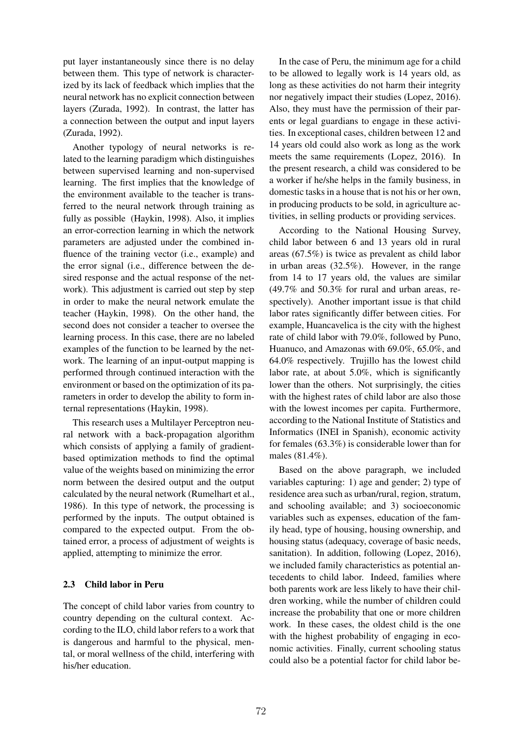put layer instantaneously since there is no delay between them. This type of network is characterized by its lack of feedback which implies that the neural network has no explicit connection between layers (Zurada, 1992). In contrast, the latter has a connection between the output and input layers (Zurada, 1992).

Another typology of neural networks is related to the learning paradigm which distinguishes between supervised learning and non-supervised learning. The first implies that the knowledge of the environment available to the teacher is transferred to the neural network through training as fully as possible (Haykin, 1998). Also, it implies an error-correction learning in which the network parameters are adjusted under the combined influence of the training vector (i.e., example) and the error signal (i.e., difference between the desired response and the actual response of the network). This adjustment is carried out step by step in order to make the neural network emulate the teacher (Haykin, 1998). On the other hand, the second does not consider a teacher to oversee the learning process. In this case, there are no labeled examples of the function to be learned by the network. The learning of an input-output mapping is performed through continued interaction with the environment or based on the optimization of its parameters in order to develop the ability to form internal representations (Haykin, 1998).

This research uses a Multilayer Perceptron neural network with a back-propagation algorithm which consists of applying a family of gradientbased optimization methods to find the optimal value of the weights based on minimizing the error norm between the desired output and the output calculated by the neural network (Rumelhart et al., 1986). In this type of network, the processing is performed by the inputs. The output obtained is compared to the expected output. From the obtained error, a process of adjustment of weights is applied, attempting to minimize the error.

## 2.3 Child labor in Peru

The concept of child labor varies from country to country depending on the cultural context. According to the ILO, child labor refers to a work that is dangerous and harmful to the physical, mental, or moral wellness of the child, interfering with his/her education.

In the case of Peru, the minimum age for a child to be allowed to legally work is 14 years old, as long as these activities do not harm their integrity nor negatively impact their studies (Lopez, 2016). Also, they must have the permission of their parents or legal guardians to engage in these activities. In exceptional cases, children between 12 and 14 years old could also work as long as the work meets the same requirements (Lopez, 2016). In the present research, a child was considered to be a worker if he/she helps in the family business, in domestic tasks in a house that is not his or her own, in producing products to be sold, in agriculture activities, in selling products or providing services.

According to the National Housing Survey, child labor between 6 and 13 years old in rural areas (67.5%) is twice as prevalent as child labor in urban areas (32.5%). However, in the range from 14 to 17 years old, the values are similar (49.7% and 50.3% for rural and urban areas, respectively). Another important issue is that child labor rates significantly differ between cities. For example, Huancavelica is the city with the highest rate of child labor with 79.0%, followed by Puno, Huanuco, and Amazonas with 69.0%, 65.0%, and 64.0% respectively. Trujillo has the lowest child labor rate, at about 5.0%, which is significantly lower than the others. Not surprisingly, the cities with the highest rates of child labor are also those with the lowest incomes per capita. Furthermore, according to the National Institute of Statistics and Informatics (INEI in Spanish), economic activity for females (63.3%) is considerable lower than for males (81.4%).

Based on the above paragraph, we included variables capturing: 1) age and gender; 2) type of residence area such as urban/rural, region, stratum, and schooling available; and 3) socioeconomic variables such as expenses, education of the family head, type of housing, housing ownership, and housing status (adequacy, coverage of basic needs, sanitation). In addition, following (Lopez, 2016), we included family characteristics as potential antecedents to child labor. Indeed, families where both parents work are less likely to have their children working, while the number of children could increase the probability that one or more children work. In these cases, the oldest child is the one with the highest probability of engaging in economic activities. Finally, current schooling status could also be a potential factor for child labor be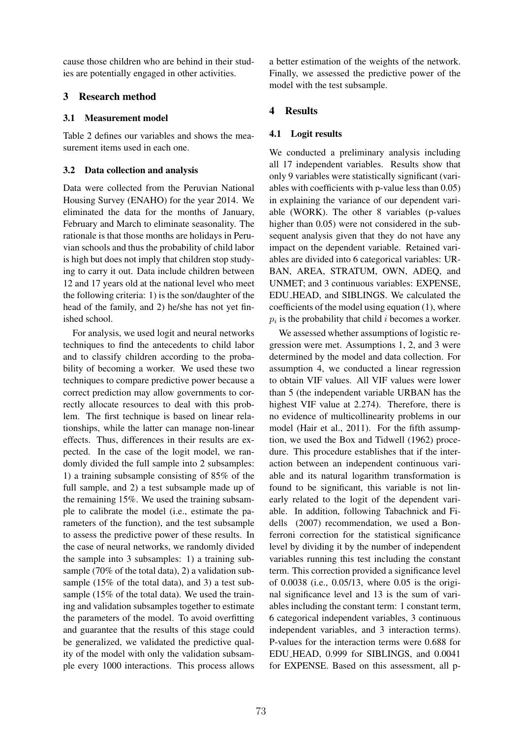cause those children who are behind in their studies are potentially engaged in other activities.

## 3 Research method

#### 3.1 Measurement model

Table 2 defines our variables and shows the measurement items used in each one.

## 3.2 Data collection and analysis

Data were collected from the Peruvian National Housing Survey (ENAHO) for the year 2014. We eliminated the data for the months of January, February and March to eliminate seasonality. The rationale is that those months are holidays in Peruvian schools and thus the probability of child labor is high but does not imply that children stop studying to carry it out. Data include children between 12 and 17 years old at the national level who meet the following criteria: 1) is the son/daughter of the head of the family, and 2) he/she has not yet finished school.

For analysis, we used logit and neural networks techniques to find the antecedents to child labor and to classify children according to the probability of becoming a worker. We used these two techniques to compare predictive power because a correct prediction may allow governments to correctly allocate resources to deal with this problem. The first technique is based on linear relationships, while the latter can manage non-linear effects. Thus, differences in their results are expected. In the case of the logit model, we randomly divided the full sample into 2 subsamples: 1) a training subsample consisting of 85% of the full sample, and 2) a test subsample made up of the remaining 15%. We used the training subsample to calibrate the model (i.e., estimate the parameters of the function), and the test subsample to assess the predictive power of these results. In the case of neural networks, we randomly divided the sample into 3 subsamples: 1) a training subsample (70% of the total data), 2) a validation subsample (15% of the total data), and 3) a test subsample (15% of the total data). We used the training and validation subsamples together to estimate the parameters of the model. To avoid overfitting and guarantee that the results of this stage could be generalized, we validated the predictive quality of the model with only the validation subsample every 1000 interactions. This process allows

a better estimation of the weights of the network. Finally, we assessed the predictive power of the model with the test subsample.

## 4 Results

## 4.1 Logit results

We conducted a preliminary analysis including all 17 independent variables. Results show that only 9 variables were statistically significant (variables with coefficients with p-value less than 0.05) in explaining the variance of our dependent variable (WORK). The other 8 variables (p-values higher than 0.05) were not considered in the subsequent analysis given that they do not have any impact on the dependent variable. Retained variables are divided into 6 categorical variables: UR-BAN, AREA, STRATUM, OWN, ADEQ, and UNMET; and 3 continuous variables: EXPENSE, EDU HEAD, and SIBLINGS. We calculated the coefficients of the model using equation (1), where *p<sup>i</sup>* is the probability that child *i* becomes a worker.

We assessed whether assumptions of logistic regression were met. Assumptions 1, 2, and 3 were determined by the model and data collection. For assumption 4, we conducted a linear regression to obtain VIF values. All VIF values were lower than 5 (the independent variable URBAN has the highest VIF value at 2.274). Therefore, there is no evidence of multicollinearity problems in our model (Hair et al., 2011). For the fifth assumption, we used the Box and Tidwell (1962) procedure. This procedure establishes that if the interaction between an independent continuous variable and its natural logarithm transformation is found to be significant, this variable is not linearly related to the logit of the dependent variable. In addition, following Tabachnick and Fidells (2007) recommendation, we used a Bonferroni correction for the statistical significance level by dividing it by the number of independent variables running this test including the constant term. This correction provided a significance level of 0.0038 (i.e., 0.05/13, where 0.05 is the original significance level and 13 is the sum of variables including the constant term: 1 constant term, 6 categorical independent variables, 3 continuous independent variables, and 3 interaction terms). P-values for the interaction terms were 0.688 for EDU HEAD, 0.999 for SIBLINGS, and 0.0041 for EXPENSE. Based on this assessment, all p-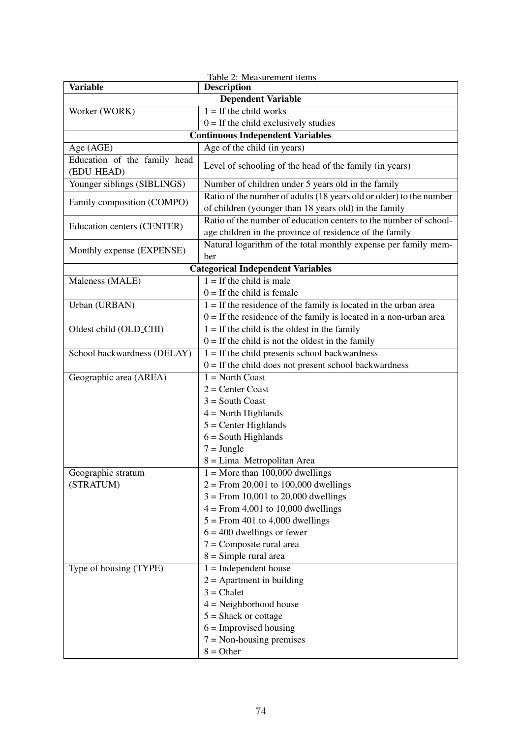|                                            | Table 2: Measurement items                                                                                                               |  |  |  |
|--------------------------------------------|------------------------------------------------------------------------------------------------------------------------------------------|--|--|--|
| <b>Variable</b>                            | <b>Description</b>                                                                                                                       |  |  |  |
|                                            | <b>Dependent Variable</b>                                                                                                                |  |  |  |
| Worker (WORK)                              | $1 =$ If the child works                                                                                                                 |  |  |  |
| $0 =$ If the child exclusively studies     |                                                                                                                                          |  |  |  |
|                                            | <b>Continuous Independent Variables</b>                                                                                                  |  |  |  |
| Age (AGE)                                  | Age of the child (in years)                                                                                                              |  |  |  |
| Education of the family head<br>(EDU_HEAD) | Level of schooling of the head of the family (in years)                                                                                  |  |  |  |
| Younger siblings (SIBLINGS)                | Number of children under 5 years old in the family                                                                                       |  |  |  |
| Family composition (COMPO)                 | Ratio of the number of adults (18 years old or older) to the number<br>of children (younger than 18 years old) in the family             |  |  |  |
| Education centers (CENTER)                 | Ratio of the number of education centers to the number of school-<br>age children in the province of residence of the family             |  |  |  |
| Monthly expense (EXPENSE)                  | Natural logarithm of the total monthly expense per family mem-<br>ber                                                                    |  |  |  |
|                                            | <b>Categorical Independent Variables</b>                                                                                                 |  |  |  |
| Maleness (MALE)                            | $1 =$ If the child is male<br>$0 =$ If the child is female                                                                               |  |  |  |
| Urban (URBAN)                              | $1 =$ If the residence of the family is located in the urban area<br>$0 =$ If the residence of the family is located in a non-urban area |  |  |  |
| Oldest child (OLD_CHI)                     | $1 =$ If the child is the oldest in the family                                                                                           |  |  |  |
|                                            | $0 =$ If the child is not the oldest in the family                                                                                       |  |  |  |
| School backwardness (DELAY)                | $1 =$ If the child presents school backwardness                                                                                          |  |  |  |
|                                            | $0 =$ If the child does not present school backwardness                                                                                  |  |  |  |
| Geographic area (AREA)                     | $1 = North Coast$                                                                                                                        |  |  |  |
|                                            | $2$ = Center Coast                                                                                                                       |  |  |  |
|                                            | $3 =$ South Coast                                                                                                                        |  |  |  |
|                                            | $4 = North$ Highlands                                                                                                                    |  |  |  |
|                                            | $5 =$ Center Highlands                                                                                                                   |  |  |  |
|                                            | $6 =$ South Highlands                                                                                                                    |  |  |  |
|                                            | $7 = \text{Jangle}$                                                                                                                      |  |  |  |
|                                            | $8 =$ Lima Metropolitan Area                                                                                                             |  |  |  |
| Geographic stratum                         | $1 =$ More than 100,000 dwellings                                                                                                        |  |  |  |
| (STRATUM)                                  | $2 =$ From 20,001 to 100,000 dwellings                                                                                                   |  |  |  |
|                                            | $3 =$ From 10,001 to 20,000 dwellings                                                                                                    |  |  |  |
|                                            | $4 =$ From 4,001 to 10,000 dwellings                                                                                                     |  |  |  |
|                                            | $5 =$ From 401 to 4,000 dwellings                                                                                                        |  |  |  |
|                                            | $6 = 400$ dwellings or fewer                                                                                                             |  |  |  |
|                                            | $7 =$ Composite rural area                                                                                                               |  |  |  |
|                                            | $8 =$ Simple rural area                                                                                                                  |  |  |  |
| Type of housing (TYPE)                     | $1 =$ Independent house                                                                                                                  |  |  |  |
|                                            | $2 =$ Apartment in building                                                                                                              |  |  |  |
|                                            | $3$ = Chalet                                                                                                                             |  |  |  |
|                                            | $4 = Neighbourhood house$                                                                                                                |  |  |  |
|                                            | $5 =$ Shack or cottage                                                                                                                   |  |  |  |
|                                            | $6 =$ Improvised housing                                                                                                                 |  |  |  |
| $7 = \text{Non-housing premises}$          |                                                                                                                                          |  |  |  |
|                                            | $8 = Other$                                                                                                                              |  |  |  |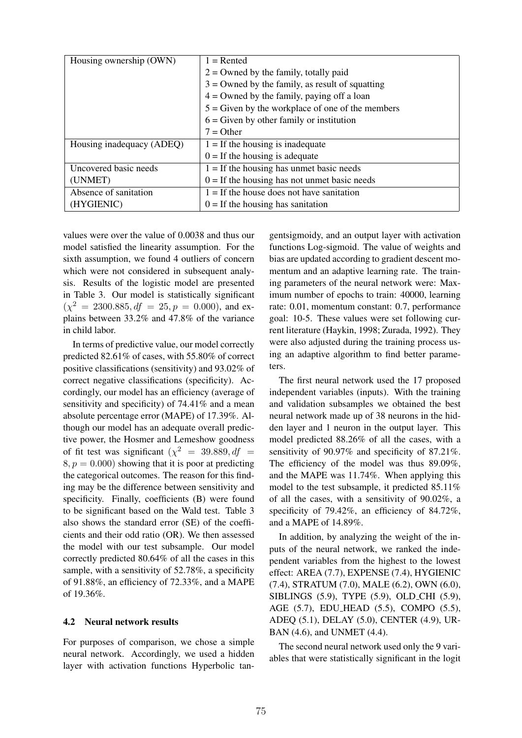| Housing ownership (OWN)   | $1 =$ Rented                                       |  |  |
|---------------------------|----------------------------------------------------|--|--|
|                           | $2 =$ Owned by the family, totally paid            |  |  |
|                           | $3 =$ Owned by the family, as result of squatting  |  |  |
|                           | $4 =$ Owned by the family, paying off a loan       |  |  |
|                           | $5 =$ Given by the workplace of one of the members |  |  |
|                           | $6 =$ Given by other family or institution         |  |  |
|                           | $7 =$ Other                                        |  |  |
| Housing inadequacy (ADEQ) | $1 =$ If the housing is inadequate                 |  |  |
|                           | $0 =$ If the housing is adequate                   |  |  |
| Uncovered basic needs     | $1 =$ If the housing has unmet basic needs         |  |  |
| (UNMET)                   | $0 =$ If the housing has not unmet basic needs     |  |  |
| Absence of sanitation     | $1 =$ If the house does not have sanitation        |  |  |
| (HYGIENIC)                | $0 =$ If the housing has sanitation                |  |  |

values were over the value of 0.0038 and thus our model satisfied the linearity assumption. For the sixth assumption, we found 4 outliers of concern which were not considered in subsequent analysis. Results of the logistic model are presented in Table 3. Our model is statistically significant  $(x^{2} = 2300.885, df = 25, p = 0.000)$ , and explains between 33.2% and 47.8% of the variance in child labor.

In terms of predictive value, our model correctly predicted 82.61% of cases, with 55.80% of correct positive classifications (sensitivity) and 93.02% of correct negative classifications (specificity). Accordingly, our model has an efficiency (average of sensitivity and specificity) of 74.41% and a mean absolute percentage error (MAPE) of 17.39%. Although our model has an adequate overall predictive power, the Hosmer and Lemeshow goodness of fit test was significant  $(\chi^2 = 39.889, df =$  $8, p = 0.000$ ) showing that it is poor at predicting the categorical outcomes. The reason for this finding may be the difference between sensitivity and specificity. Finally, coefficients (B) were found to be significant based on the Wald test. Table 3 also shows the standard error (SE) of the coefficients and their odd ratio (OR). We then assessed the model with our test subsample. Our model correctly predicted 80.64% of all the cases in this sample, with a sensitivity of 52.78%, a specificity of 91.88%, an efficiency of 72.33%, and a MAPE of 19.36%.

#### 4.2 Neural network results

For purposes of comparison, we chose a simple neural network. Accordingly, we used a hidden layer with activation functions Hyperbolic tan-

gentsigmoidy, and an output layer with activation functions Log-sigmoid. The value of weights and bias are updated according to gradient descent momentum and an adaptive learning rate. The training parameters of the neural network were: Maximum number of epochs to train: 40000, learning rate: 0.01, momentum constant: 0.7, performance goal: 10-5. These values were set following current literature (Haykin, 1998; Zurada, 1992). They were also adjusted during the training process using an adaptive algorithm to find better parameters.

The first neural network used the 17 proposed independent variables (inputs). With the training and validation subsamples we obtained the best neural network made up of 38 neurons in the hidden layer and 1 neuron in the output layer. This model predicted 88.26% of all the cases, with a sensitivity of 90.97% and specificity of 87.21%. The efficiency of the model was thus 89.09%, and the MAPE was 11.74%. When applying this model to the test subsample, it predicted 85.11% of all the cases, with a sensitivity of 90.02%, a specificity of 79.42%, an efficiency of 84.72%, and a MAPE of 14.89%.

In addition, by analyzing the weight of the inputs of the neural network, we ranked the independent variables from the highest to the lowest effect: AREA (7.7), EXPENSE (7.4), HYGIENIC (7.4), STRATUM (7.0), MALE (6.2), OWN (6.0), SIBLINGS (5.9), TYPE (5.9), OLD CHI (5.9), AGE (5.7), EDU HEAD (5.5), COMPO (5.5), ADEQ (5.1), DELAY (5.0), CENTER (4.9), UR-BAN (4.6), and UNMET (4.4).

The second neural network used only the 9 variables that were statistically significant in the logit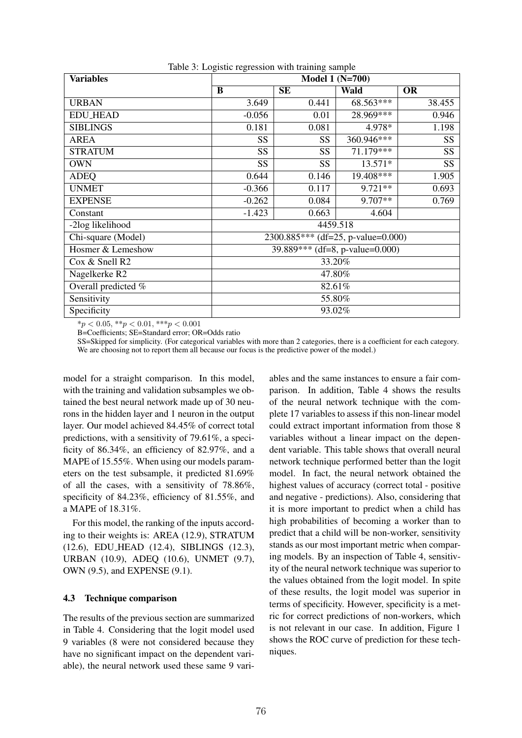| <b>Variables</b>    | <b>Model 1 (N=700)</b>             |                 |            |           |
|---------------------|------------------------------------|-----------------|------------|-----------|
|                     | B                                  | <b>SE</b>       | Wald       | OR        |
| <b>URBAN</b>        | 3.649                              | 0.441           | 68.563***  | 38.455    |
| <b>EDU_HEAD</b>     | $-0.056$                           | 0.01            | 28.969***  | 0.946     |
| <b>SIBLINGS</b>     | 0.181                              | 0.081           | 4.978*     | 1.198     |
| AREA                | SS                                 | SS              | 360.946*** | SS        |
| <b>STRATUM</b>      | <b>SS</b>                          | SS <sub>1</sub> | 71.179***  | SS        |
| <b>OWN</b>          | <b>SS</b>                          | <b>SS</b>       | 13.571*    | <b>SS</b> |
| <b>ADEQ</b>         | 0.644                              | 0.146           | 19.408***  | 1.905     |
| <b>UNMET</b>        | $-0.366$                           | 0.117           | $9.721**$  | 0.693     |
| <b>EXPENSE</b>      | $-0.262$                           | 0.084           | 9.707**    | 0.769     |
| Constant            | $-1.423$                           | 0.663           | 4.604      |           |
| -2log likelihood    | 4459.518                           |                 |            |           |
| Chi-square (Model)  | 2300.885*** (df=25, p-value=0.000) |                 |            |           |
| Hosmer & Lemeshow   | $39.889***$ (df=8, p-value=0.000)  |                 |            |           |
| Cox & Snell R2      | 33.20%                             |                 |            |           |
| Nagelkerke R2       | 47.80%                             |                 |            |           |
| Overall predicted % | 82.61%                             |                 |            |           |
| Sensitivity         | 55.80%                             |                 |            |           |
| Specificity         | 93.02%                             |                 |            |           |

Table 3: Logistic regression with training sample

\**p <* 0*.*05*,* \*\**p <* 0*.*01*,* \*\*\**p <* 0*.*001

B=Coefficients; SE=Standard error; OR=Odds ratio

SS=Skipped for simplicity. (For categorical variables with more than 2 categories, there is a coefficient for each category. We are choosing not to report them all because our focus is the predictive power of the model.)

model for a straight comparison. In this model, with the training and validation subsamples we obtained the best neural network made up of 30 neurons in the hidden layer and 1 neuron in the output layer. Our model achieved 84.45% of correct total predictions, with a sensitivity of 79.61%, a specificity of 86.34%, an efficiency of 82.97%, and a MAPE of 15.55%. When using our models parameters on the test subsample, it predicted 81.69% of all the cases, with a sensitivity of 78.86%, specificity of 84.23%, efficiency of 81.55%, and a MAPE of 18.31%.

For this model, the ranking of the inputs according to their weights is: AREA (12.9), STRATUM (12.6), EDU HEAD (12.4), SIBLINGS (12.3), URBAN (10.9), ADEQ (10.6), UNMET (9.7), OWN (9.5), and EXPENSE (9.1).

#### 4.3 Technique comparison

The results of the previous section are summarized in Table 4. Considering that the logit model used 9 variables (8 were not considered because they have no significant impact on the dependent variable), the neural network used these same 9 vari-

ables and the same instances to ensure a fair comparison. In addition, Table 4 shows the results of the neural network technique with the complete 17 variables to assess if this non-linear model could extract important information from those 8 variables without a linear impact on the dependent variable. This table shows that overall neural network technique performed better than the logit model. In fact, the neural network obtained the highest values of accuracy (correct total - positive and negative - predictions). Also, considering that it is more important to predict when a child has high probabilities of becoming a worker than to predict that a child will be non-worker, sensitivity stands as our most important metric when comparing models. By an inspection of Table 4, sensitivity of the neural network technique was superior to the values obtained from the logit model. In spite of these results, the logit model was superior in terms of specificity. However, specificity is a metric for correct predictions of non-workers, which is not relevant in our case. In addition, Figure 1 shows the ROC curve of prediction for these techniques.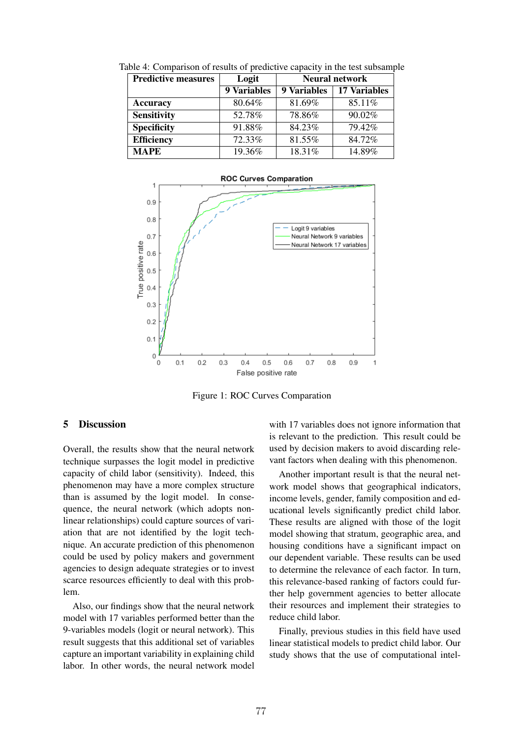| <b>Predictive measures</b> | Logit              | <b>Neural network</b> |                     |  |
|----------------------------|--------------------|-----------------------|---------------------|--|
|                            | <b>9 Variables</b> | <b>9 Variables</b>    | <b>17 Variables</b> |  |
| <b>Accuracy</b>            | 80.64%             | 81.69%                | 85.11%              |  |
| <b>Sensitivity</b>         | 52.78%             | 78.86%                | 90.02%              |  |
| <b>Specificity</b>         | 91.88%             | 84.23%                | 79.42%              |  |
| <b>Efficiency</b>          | 72.33%             | 81.55%                | 84.72%              |  |
| <b>MAPE</b>                | 19.36%             | 18.31%                | 14.89%              |  |

Table 4: Comparison of results of predictive capacity in the test subsample



Figure 1: ROC Curves Comparation

## 5 Discussion

Overall, the results show that the neural network technique surpasses the logit model in predictive capacity of child labor (sensitivity). Indeed, this phenomenon may have a more complex structure than is assumed by the logit model. In consequence, the neural network (which adopts nonlinear relationships) could capture sources of variation that are not identified by the logit technique. An accurate prediction of this phenomenon could be used by policy makers and government agencies to design adequate strategies or to invest scarce resources efficiently to deal with this problem.

Also, our findings show that the neural network model with 17 variables performed better than the 9-variables models (logit or neural network). This result suggests that this additional set of variables capture an important variability in explaining child labor. In other words, the neural network model

with 17 variables does not ignore information that is relevant to the prediction. This result could be used by decision makers to avoid discarding relevant factors when dealing with this phenomenon.

Another important result is that the neural network model shows that geographical indicators, income levels, gender, family composition and educational levels significantly predict child labor. These results are aligned with those of the logit model showing that stratum, geographic area, and housing conditions have a significant impact on our dependent variable. These results can be used to determine the relevance of each factor. In turn, this relevance-based ranking of factors could further help government agencies to better allocate their resources and implement their strategies to reduce child labor.

Finally, previous studies in this field have used linear statistical models to predict child labor. Our study shows that the use of computational intel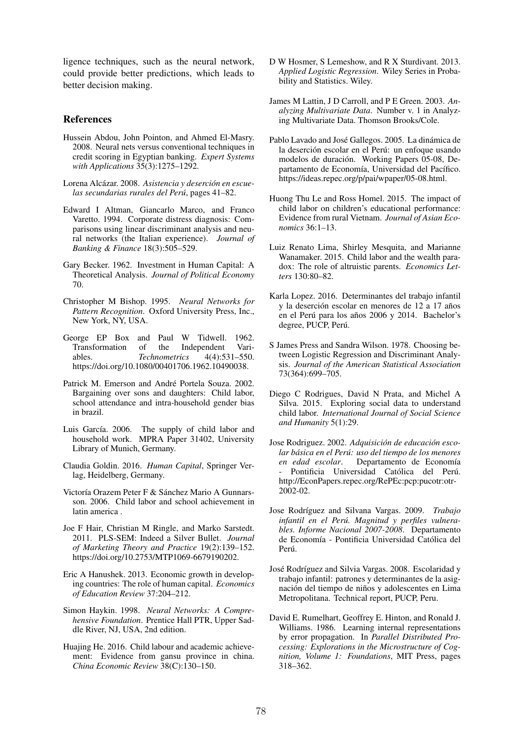ligence techniques, such as the neural network, could provide better predictions, which leads to better decision making.

#### References

- Hussein Abdou, John Pointon, and Ahmed El-Masry. 2008. Neural nets versus conventional techniques in credit scoring in Egyptian banking. *Expert Systems with Applications* 35(3):1275–1292.
- Lorena Alcázar. 2008. Asistencia y deserción en escue*las secundarias rurales del Peru´*, pages 41–82.
- Edward I Altman, Giancarlo Marco, and Franco Varetto. 1994. Corporate distress diagnosis: Comparisons using linear discriminant analysis and neural networks (the Italian experience). *Journal of Banking & Finance* 18(3):505–529.
- Gary Becker. 1962. Investment in Human Capital: A Theoretical Analysis. *Journal of Political Economy* 70.
- Christopher M Bishop. 1995. *Neural Networks for Pattern Recognition*. Oxford University Press, Inc., New York, NY, USA.
- George EP Box and Paul W Tidwell. 1962. Transformation of the Independent Variables. *Technometrics* 4(4):531–550. https://doi.org/10.1080/00401706.1962.10490038.
- Patrick M. Emerson and André Portela Souza. 2002. Bargaining over sons and daughters: Child labor, school attendance and intra-household gender bias in brazil.
- Luis García. 2006. The supply of child labor and household work. MPRA Paper 31402, University Library of Munich, Germany.
- Claudia Goldin. 2016. *Human Capital*, Springer Verlag, Heidelberg, Germany.
- Victoría Orazem Peter F & Sánchez Mario A Gunnarsson. 2006. Child labor and school achievement in latin america .
- Joe F Hair, Christian M Ringle, and Marko Sarstedt. 2011. PLS-SEM: Indeed a Silver Bullet. *Journal of Marketing Theory and Practice* 19(2):139–152. https://doi.org/10.2753/MTP1069-6679190202.
- Eric A Hanushek. 2013. Economic growth in developing countries: The role of human capital. *Economics of Education Review* 37:204–212.
- Simon Haykin. 1998. *Neural Networks: A Comprehensive Foundation*. Prentice Hall PTR, Upper Saddle River, NJ, USA, 2nd edition.
- Huajing He. 2016. Child labour and academic achievement: Evidence from gansu province in china. *China Economic Review* 38(C):130–150.
- D W Hosmer, S Lemeshow, and R X Sturdivant. 2013. *Applied Logistic Regression*. Wiley Series in Probability and Statistics. Wiley.
- James M Lattin, J D Carroll, and P E Green. 2003. *Analyzing Multivariate Data*. Number v. 1 in Analyzing Multivariate Data. Thomson Brooks/Cole.
- Pablo Lavado and José Gallegos. 2005. La dinámica de la deserción escolar en el Perú: un enfoque usando modelos de duración. Working Papers 05-08, Departamento de Economía, Universidad del Pacífico. https://ideas.repec.org/p/pai/wpaper/05-08.html.
- Huong Thu Le and Ross Homel. 2015. The impact of child labor on children's educational performance: Evidence from rural Vietnam. *Journal of Asian Economics* 36:1–13.
- Luiz Renato Lima, Shirley Mesquita, and Marianne Wanamaker. 2015. Child labor and the wealth paradox: The role of altruistic parents. *Economics Letters* 130:80–82.
- Karla Lopez. 2016. Determinantes del trabajo infantil y la deserción escolar en menores de 12 a 17 años en el Perú para los años 2006 y 2014. Bachelor's degree, PUCP, Perú.
- S James Press and Sandra Wilson. 1978. Choosing between Logistic Regression and Discriminant Analysis. *Journal of the American Statistical Association* 73(364):699–705.
- Diego C Rodrigues, David N Prata, and Michel A Silva. 2015. Exploring social data to understand child labor. *International Journal of Social Science and Humanity* 5(1):29.
- Jose Rodriguez. 2002. *Adquisicion de educaci ´ on esco- ´ lar basica en el Per ´ u: uso del tiempo de los menores ´ en edad escolar*. Departamento de Economía Pontificia Universidad Católica del Perú. http://EconPapers.repec.org/RePEc:pcp:pucotr:otr-2002-02.
- Jose Rodríguez and Silvana Vargas. 2009. *Trabajo infantil en el Peru. Magnitud y perfiles vulnera- ´ bles. Informe Nacional 2007-2008*. Departamento de Economía - Pontificia Universidad Católica del Perú
- José Rodríguez and Silvia Vargas. 2008. Escolaridad y trabajo infantil: patrones y determinantes de la asignación del tiempo de niños y adolescentes en Lima Metropolitana. Technical report, PUCP, Peru.
- David E. Rumelhart, Geoffrey E. Hinton, and Ronald J. Williams. 1986. Learning internal representations by error propagation. In *Parallel Distributed Processing: Explorations in the Microstructure of Cognition, Volume 1: Foundations*, MIT Press, pages 318–362.